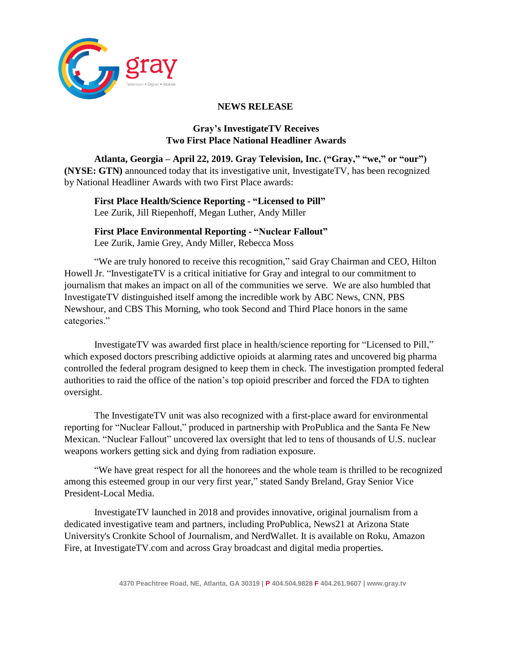

## **NEWS RELEASE**

## **Gray's InvestigateTV Receives Two First Place National Headliner Awards**

**Atlanta, Georgia – April 22, 2019. Gray Television, Inc. ("Gray," "we," or "our") (NYSE: GTN)** announced today that its investigative unit, InvestigateTV, has been recognized by National Headliner Awards with two First Place awards:

**First Place Health/Science Reporting - "Licensed to Pill"** Lee Zurik, Jill Riepenhoff, Megan Luther, Andy Miller

**First Place Environmental Reporting - "Nuclear Fallout"** Lee Zurik, Jamie Grey, Andy Miller, Rebecca Moss

"We are truly honored to receive this recognition," said Gray Chairman and CEO, Hilton Howell Jr. "InvestigateTV is a critical initiative for Gray and integral to our commitment to journalism that makes an impact on all of the communities we serve. We are also humbled that InvestigateTV distinguished itself among the incredible work by ABC News, CNN, PBS Newshour, and CBS This Morning, who took Second and Third Place honors in the same categories."

InvestigateTV was awarded first place in health/science reporting for "Licensed to Pill," which exposed doctors prescribing addictive opioids at alarming rates and uncovered big pharma controlled the federal program designed to keep them in check. The investigation prompted federal authorities to raid the office of the nation's top opioid prescriber and forced the FDA to tighten oversight.

The InvestigateTV unit was also recognized with a first-place award for environmental reporting for "Nuclear Fallout," produced in partnership with ProPublica and the Santa Fe New Mexican. "Nuclear Fallout" uncovered lax oversight that led to tens of thousands of U.S. nuclear weapons workers getting sick and dying from radiation exposure.

"We have great respect for all the honorees and the whole team is thrilled to be recognized among this esteemed group in our very first year," stated Sandy Breland, Gray Senior Vice President-Local Media.

InvestigateTV launched in 2018 and provides innovative, original journalism from a dedicated investigative team and partners, including ProPublica, News21 at Arizona State University's Cronkite School of Journalism, and NerdWallet. It is available on Roku, Amazon Fire, at InvestigateTV.com and across Gray broadcast and digital media properties.